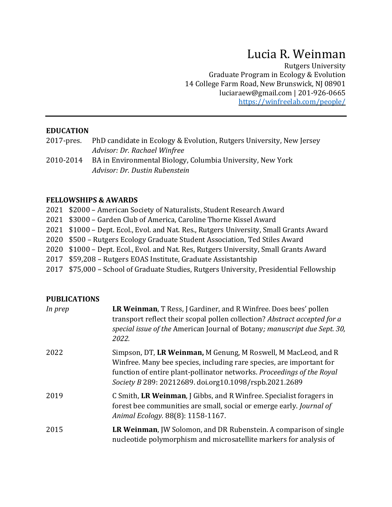# Lucia R. Weinman

Rutgers University Graduate Program in Ecology & Evolution 14 College Farm Road, New Brunswick, NJ 08901 [luciaraew@gmail.com](mailto:lucia.weinman@rutgers.edu) | 201-926-0665 <https://winfreelab.com/people/>

#### **EDUCATION**

- 2017-pres. PhD candidate in Ecology & Evolution, Rutgers University, New Jersey *Advisor: Dr. Rachael Winfree*
- 2010-2014 BA in Environmental Biology, Columbia University, New York *Advisor: Dr. Dustin Rubenstein*

#### **FELLOWSHIPS & AWARDS**

| 2021 \$2000 - American Society of Naturalists, Student Research Award                   |
|-----------------------------------------------------------------------------------------|
| 2021 \$3000 – Garden Club of America, Caroline Thorne Kissel Award                      |
| 2021 \$1000 – Dept. Ecol., Evol. and Nat. Res., Rutgers University, Small Grants Award  |
| 2020 \$500 – Rutgers Ecology Graduate Student Association, Ted Stiles Award             |
| 2020 \$1000 - Dept. Ecol., Evol. and Nat. Res, Rutgers University, Small Grants Award   |
| 2017 \$59,208 – Rutgers EOAS Institute, Graduate Assistantship                          |
| 2017 \$75,000 - School of Graduate Studies, Rutgers University, Presidential Fellowship |

#### **PUBLICATIONS**

| In prep | LR Weinman, T Ress, J Gardiner, and R Winfree. Does bees' pollen<br>transport reflect their scopal pollen collection? Abstract accepted for a<br>special issue of the American Journal of Botany; manuscript due Sept. 30,<br>2022.                                        |
|---------|----------------------------------------------------------------------------------------------------------------------------------------------------------------------------------------------------------------------------------------------------------------------------|
| 2022    | Simpson, DT, LR Weinman, M Genung, M Roswell, M MacLeod, and R<br>Winfree. Many bee species, including rare species, are important for<br>function of entire plant-pollinator networks. Proceedings of the Royal<br>Society B 289: 20212689. doi.org10.1098/rspb.2021.2689 |
| 2019    | C Smith, LR Weinman, J Gibbs, and R Winfree. Specialist foragers in<br>forest bee communities are small, social or emerge early. Journal of<br>Animal Ecology. 88(8): 1158-1167.                                                                                           |
| 2015    | LR Weinman, JW Solomon, and DR Rubenstein. A comparison of single<br>nucleotide polymorphism and microsatellite markers for analysis of                                                                                                                                    |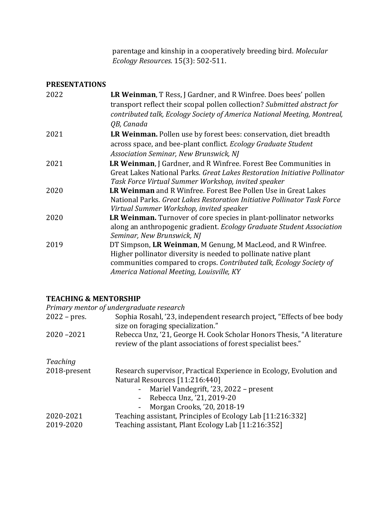parentage and kinship in a cooperatively breeding bird. *Molecular Ecology Resources*. 15(3): 502-511.

#### **PRESENTATIONS**

| 2022 | LR Weinman, T Ress, J Gardner, and R Winfree. Does bees' pollen           |
|------|---------------------------------------------------------------------------|
|      | transport reflect their scopal pollen collection? Submitted abstract for  |
|      | contributed talk, Ecology Society of America National Meeting, Montreal,  |
|      | QB, Canada                                                                |
| 2021 | LR Weinman. Pollen use by forest bees: conservation, diet breadth         |
|      | across space, and bee-plant conflict. Ecology Graduate Student            |
|      | Association Seminar, New Brunswick, NJ                                    |
| 2021 | <b>LR Weinman, J Gardner, and R Winfree. Forest Bee Communities in</b>    |
|      | Great Lakes National Parks. Great Lakes Restoration Initiative Pollinator |
|      | Task Force Virtual Summer Workshop, invited speaker                       |
| 2020 | LR Weinman and R Winfree. Forest Bee Pollen Use in Great Lakes            |
|      | National Parks. Great Lakes Restoration Initiative Pollinator Task Force  |
|      | Virtual Summer Workshop, invited speaker                                  |
| 2020 | LR Weinman. Turnover of core species in plant-pollinator networks         |
|      | along an anthropogenic gradient. Ecology Graduate Student Association     |
|      | Seminar, New Brunswick, NJ                                                |
| 2019 | DT Simpson, LR Weinman, M Genung, M MacLeod, and R Winfree.               |
|      | Higher pollinator diversity is needed to pollinate native plant           |
|      | communities compared to crops. Contributed talk, Ecology Society of       |
|      | America National Meeting, Louisville, KY                                  |

#### **TEACHING & MENTORSHIP**

*Primary mentor of undergraduate research*

| $2022$ – pres. | Sophia Rosahl, '23, independent research project, "Effects of bee body<br>size on foraging specialization."                           |  |
|----------------|---------------------------------------------------------------------------------------------------------------------------------------|--|
| $2020 - 2021$  | Rebecca Unz, '21, George H. Cook Scholar Honors Thesis, "A literature<br>review of the plant associations of forest specialist bees." |  |
| Teaching       |                                                                                                                                       |  |
| 2018-present   | Research supervisor, Practical Experience in Ecology, Evolution and                                                                   |  |
|                | Natural Resources [11:216:440]                                                                                                        |  |
|                | - Mariel Vandegrift, '23, 2022 – present                                                                                              |  |
|                | - Rebecca Unz, '21, 2019-20                                                                                                           |  |
|                | - Morgan Crooks, '20, 2018-19                                                                                                         |  |
| 2020-2021      | Teaching assistant, Principles of Ecology Lab [11:216:332]                                                                            |  |
| 2019-2020      | Teaching assistant, Plant Ecology Lab [11:216:352]                                                                                    |  |